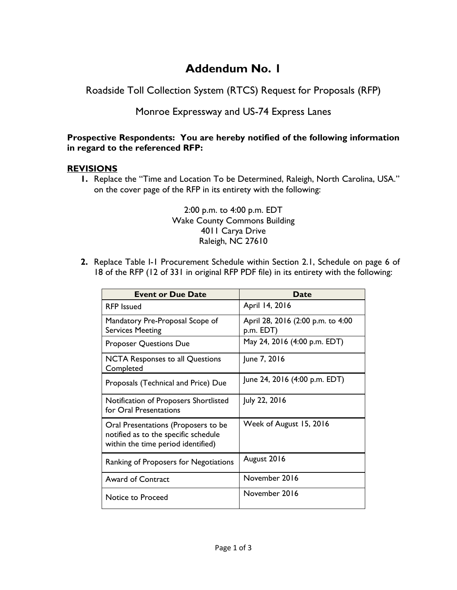## **Addendum No. 1**

Roadside Toll Collection System (RTCS) Request for Proposals (RFP)

## Monroe Expressway and US-74 Express Lanes

## **Prospective Respondents: You are hereby notified of the following information in regard to the referenced RFP:**

## **REVISIONS**

**1.** Replace the "Time and Location To be Determined, Raleigh, North Carolina, USA." on the cover page of the RFP in its entirety with the following:

> 2:00 p.m. to 4:00 p.m. EDT Wake County Commons Building 4011 Carya Drive Raleigh, NC 27610

**2.** Replace Table I-1 Procurement Schedule within Section 2.1, Schedule on page 6 of 18 of the RFP (12 of 331 in original RFP PDF file) in its entirety with the following:

| <b>Event or Due Date</b>                                                                                          | Date                                           |
|-------------------------------------------------------------------------------------------------------------------|------------------------------------------------|
| <b>RFP</b> Issued                                                                                                 | April 14, 2016                                 |
| Mandatory Pre-Proposal Scope of<br><b>Services Meeting</b>                                                        | April 28, 2016 (2:00 p.m. to 4:00<br>p.m. EDT) |
| <b>Proposer Questions Due</b>                                                                                     | May 24, 2016 (4:00 p.m. EDT)                   |
| NCTA Responses to all Questions<br>Completed                                                                      | June 7, 2016                                   |
| Proposals (Technical and Price) Due                                                                               | June 24, 2016 (4:00 p.m. EDT)                  |
| Notification of Proposers Shortlisted<br>for Oral Presentations                                                   | July 22, 2016                                  |
| Oral Presentations (Proposers to be<br>notified as to the specific schedule<br>within the time period identified) | Week of August 15, 2016                        |
| Ranking of Proposers for Negotiations                                                                             | August 2016                                    |
| <b>Award of Contract</b>                                                                                          | November 2016                                  |
| Notice to Proceed                                                                                                 | November 2016                                  |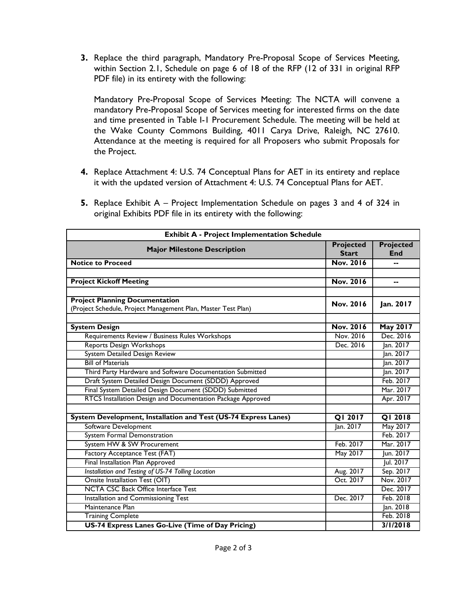**3.** Replace the third paragraph, Mandatory Pre-Proposal Scope of Services Meeting, within Section 2.1, Schedule on page 6 of 18 of the RFP (12 of 331 in original RFP PDF file) in its entirety with the following:

Mandatory Pre-Proposal Scope of Services Meeting: The NCTA will convene a mandatory Pre-Proposal Scope of Services meeting for interested firms on the date and time presented in Table I-1 Procurement Schedule. The meeting will be held at the Wake County Commons Building, 4011 Carya Drive, Raleigh, NC 27610. Attendance at the meeting is required for all Proposers who submit Proposals for the Project.

**4.** Replace Attachment 4: U.S. 74 Conceptual Plans for AET in its entirety and replace it with the updated version of Attachment 4: U.S. 74 Conceptual Plans for AET.

| 5. Replace Exhibit A – Project Implementation Schedule on pages 3 and 4 of 324 in |
|-----------------------------------------------------------------------------------|
| original Exhibits PDF file in its entirety with the following:                    |

| <b>Exhibit A - Project Implementation Schedule</b>              |                  |                  |  |  |
|-----------------------------------------------------------------|------------------|------------------|--|--|
| <b>Major Milestone Description</b>                              | <b>Projected</b> | <b>Projected</b> |  |  |
|                                                                 | <b>Start</b>     | End              |  |  |
| <b>Notice to Proceed</b>                                        | <b>Nov. 2016</b> |                  |  |  |
|                                                                 |                  |                  |  |  |
| <b>Project Kickoff Meeting</b>                                  |                  | --               |  |  |
|                                                                 |                  |                  |  |  |
| <b>Project Planning Documentation</b>                           | Nov. 2016        | Jan. 2017        |  |  |
| (Project Schedule, Project Management Plan, Master Test Plan)   |                  |                  |  |  |
|                                                                 |                  |                  |  |  |
| <b>System Design</b>                                            | <b>Nov. 2016</b> | May 2017         |  |  |
| Requirements Review / Business Rules Workshops                  | Nov. 2016        | Dec. 2016        |  |  |
| <b>Reports Design Workshops</b>                                 | Dec. 2016        | Jan. 2017        |  |  |
| <b>System Detailed Design Review</b>                            |                  | Jan. 2017        |  |  |
| <b>Bill of Materials</b>                                        |                  | Jan. 2017        |  |  |
| Third Party Hardware and Software Documentation Submitted       |                  | Jan. 2017        |  |  |
| Draft System Detailed Design Document (SDDD) Approved           |                  | Feb. 2017        |  |  |
| Final System Detailed Design Document (SDDD) Submitted          |                  | Mar. 2017        |  |  |
| RTCS Installation Design and Documentation Package Approved     |                  | Apr. 2017        |  |  |
|                                                                 |                  |                  |  |  |
| System Development, Installation and Test (US-74 Express Lanes) | QI 2017          | <b>QI 2018</b>   |  |  |
| Software Development                                            | Jan. 2017        | May 2017         |  |  |
| <b>System Formal Demonstration</b>                              |                  | Feb. 2017        |  |  |
| System HW & SW Procurement                                      | Feb. 2017        | Mar. 2017        |  |  |
| Factory Acceptance Test (FAT)                                   | May 2017         | Jun. 2017        |  |  |
| Final Installation Plan Approved                                |                  | Jul. 2017        |  |  |
| Installation and Testing of US-74 Tolling Location              | Aug. 2017        | Sep. 2017        |  |  |
| Onsite Installation Test (OIT)                                  | Oct. 2017        | Nov. 2017        |  |  |
| <b>NCTA CSC Back Office Interface Test</b>                      |                  | Dec. 2017        |  |  |
| Installation and Commissioning Test                             | Dec. 2017        | Feb. 2018        |  |  |
| Maintenance Plan                                                |                  | Jan. 2018        |  |  |
| <b>Training Complete</b>                                        |                  | Feb. 2018        |  |  |
| US-74 Express Lanes Go-Live (Time of Day Pricing)               |                  | 3/1/2018         |  |  |